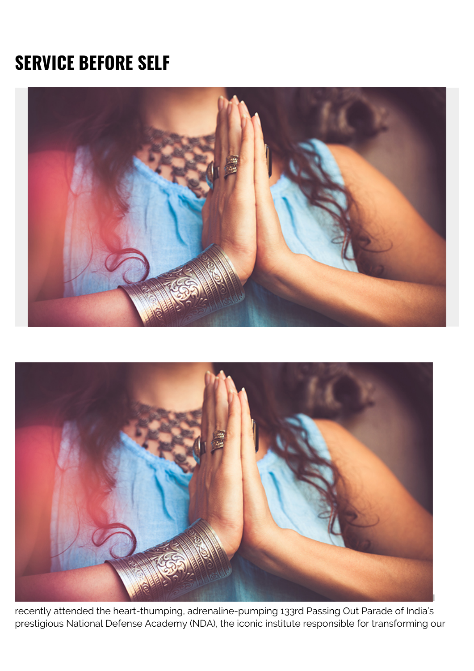# **SERVICE BEFORE SELF**





recently attended the heart-thumping, adrenaline-pumping 133rd Passing Out Parade of India's prestigious National Defense Academy (NDA), the iconic institute responsible for transforming our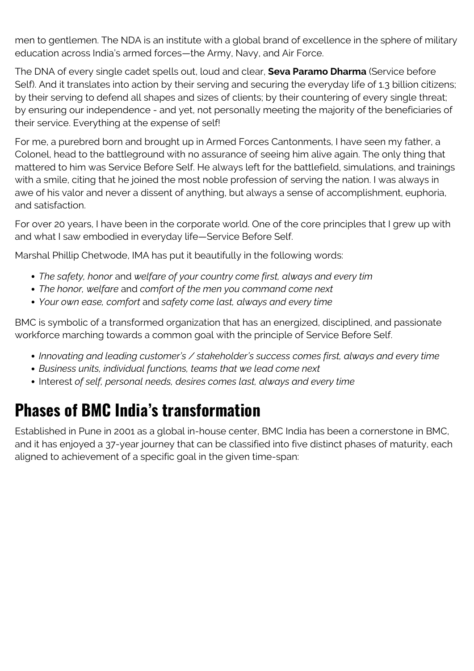men to gentlemen. The NDA is an institute with a global brand of excellence in the sphere of military education across India's armed forces—the Army, Navy, and Air Force.

The DNA of every single cadet spells out, loud and clear, **Seva Paramo Dharma** (Service before Self). And it translates into action by their serving and securing the everyday life of 1.3 billion citizens; by their serving to defend all shapes and sizes of clients; by their countering of every single threat; by ensuring our independence - and yet, not personally meeting the majority of the beneficiaries of their service. Everything at the expense of self!

For me, a purebred born and brought up in Armed Forces Cantonments, I have seen my father, a Colonel, head to the battleground with no assurance of seeing him alive again. The only thing that mattered to him was Service Before Self. He always left for the battlefield, simulations, and trainings with a smile, citing that he joined the most noble profession of serving the nation. I was always in awe of his valor and never a dissent of anything, but always a sense of accomplishment, euphoria, and satisfaction.

For over 20 years, I have been in the corporate world. One of the core principles that I grew up with and what I saw embodied in everyday life—Service Before Self.

Marshal Phillip Chetwode, IMA has put it beautifully in the following words:

- *The safety, honor* and *welfare of your country come first, always and every tim*
- *The honor, welfare* and *comfort of the men you command come next*
- *Your own ease, comfort* and *safety come last, always and every time*

BMC is symbolic of a transformed organization that has an energized, disciplined, and passionate workforce marching towards a common goal with the principle of Service Before Self.

- *Innovating and leading customer's / stakeholder's success comes first, always and every time*
- *Business units, individual functions, teams that we lead come next*
- Interest *of self, personal needs, desires comes last, always and every time*

## **Phases of BMC India's transformation**

Established in Pune in 2001 as a global in-house center, BMC India has been a cornerstone in BMC, and it has enjoyed a 37-year journey that can be classified into five distinct phases of maturity, each aligned to achievement of a specific goal in the given time-span: